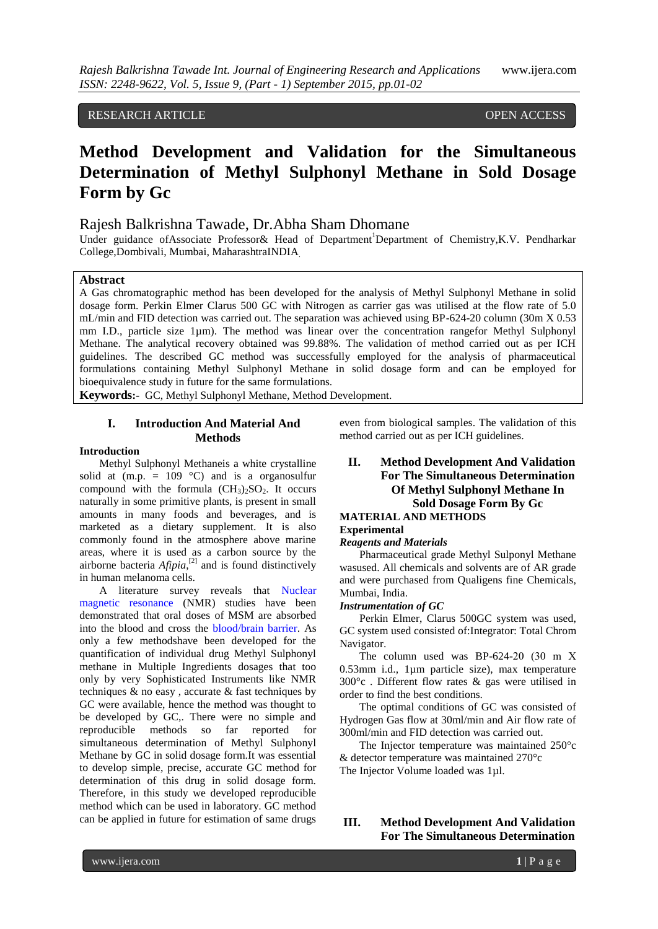RESEARCH ARTICLE OPEN ACCESS

# **Method Development and Validation for the Simultaneous Determination of Methyl Sulphonyl Methane in Sold Dosage Form by Gc**

# Rajesh Balkrishna Tawade, Dr.Abha Sham Dhomane

Under guidance ofAssociate Professor & Head of Department<sup>1</sup>Department of Chemistry, K.V. Pendharkar College,Dombivali, Mumbai, MaharashtraINDIA.

### **Abstract**

A Gas chromatographic method has been developed for the analysis of Methyl Sulphonyl Methane in solid dosage form. Perkin Elmer Clarus 500 GC with Nitrogen as carrier gas was utilised at the flow rate of 5.0 mL/min and FID detection was carried out. The separation was achieved using BP-624-20 column (30m X 0.53 mm I.D., particle size 1µm). The method was linear over the concentration rangefor Methyl Sulphonyl Methane. The analytical recovery obtained was 99.88%. The validation of method carried out as per ICH guidelines. The described GC method was successfully employed for the analysis of pharmaceutical formulations containing Methyl Sulphonyl Methane in solid dosage form and can be employed for bioequivalence study in future for the same formulations.

**Keywords:-** GC, Methyl Sulphonyl Methane, Method Development.

## **I. Introduction And Material And Methods**

#### **Introduction**

Methyl Sulphonyl Methaneis a white crystalline solid at  $(m.p. = 109 °C)$  and is a organosulfur [compound](https://en.wikipedia.org/wiki/Organosulfur_compound) with the [formula](https://en.wikipedia.org/wiki/Chemical_formula)  $(CH_3)_2SO_2$ . It occurs naturally in some primitive plants, is present in small amounts in many foods and beverages, and is marketed as a [dietary supplement.](https://en.wikipedia.org/wiki/Dietary_supplement) It is also commonly found in the atmosphere above marine areas, where it is used as a carbon source by the airborne bacteria  $Afipia$ ,<sup>[\[2\]](https://en.wikipedia.org/wiki/Methylsulfonylmethane#cite_note-2)</sup> and is found distinctively in human melanoma cells.

A literature survey reveals that [Nuclear](https://en.wikipedia.org/wiki/Nuclear_magnetic_resonance)  [magnetic resonance](https://en.wikipedia.org/wiki/Nuclear_magnetic_resonance) (NMR) studies have been demonstrated that oral doses of MSM are absorbed into the blood and cross the [blood/brain barrier.](https://en.wikipedia.org/wiki/Blood%E2%80%93brain_barrier) As only a few methodshave been developed for the quantification of individual drug Methyl Sulphonyl methane in Multiple Ingredients dosages that too only by very Sophisticated Instruments like NMR techniques & no easy , accurate & fast techniques by GC were available, hence the method was thought to be developed by GC,. There were no simple and reproducible methods so far reported for simultaneous determination of Methyl Sulphonyl Methane by GC in solid dosage form.It was essential to develop simple, precise, accurate GC method for determination of this drug in solid dosage form. Therefore, in this study we developed reproducible method which can be used in laboratory. GC method can be applied in future for estimation of same drugs

even from biological samples. The validation of this method carried out as per ICH guidelines.

### **II. Method Development And Validation For The Simultaneous Determination Of Methyl Sulphonyl Methane In Sold Dosage Form By Gc MATERIAL AND METHODS Experimental**

#### *Reagents and Materials*

Pharmaceutical grade Methyl Sulponyl Methane wasused. All chemicals and solvents are of AR grade and were purchased from Qualigens fine Chemicals, Mumbai, India.

#### *Instrumentation of GC*

Perkin Elmer, Clarus 500GC system was used, GC system used consisted of:Integrator: Total Chrom Navigator.

The column used was BP-624-20 (30 m Χ 0.53mm i.d., 1µm particle size), max temperature 300°c . Different flow rates & gas were utilised in order to find the best conditions.

The optimal conditions of GC was consisted of Hydrogen Gas flow at 30ml/min and Air flow rate of 300ml/min and FID detection was carried out.

The Injector temperature was maintained 250°c & detector temperature was maintained 270°c The Injector Volume loaded was 1µl.

## **III. Method Development And Validation For The Simultaneous Determination**